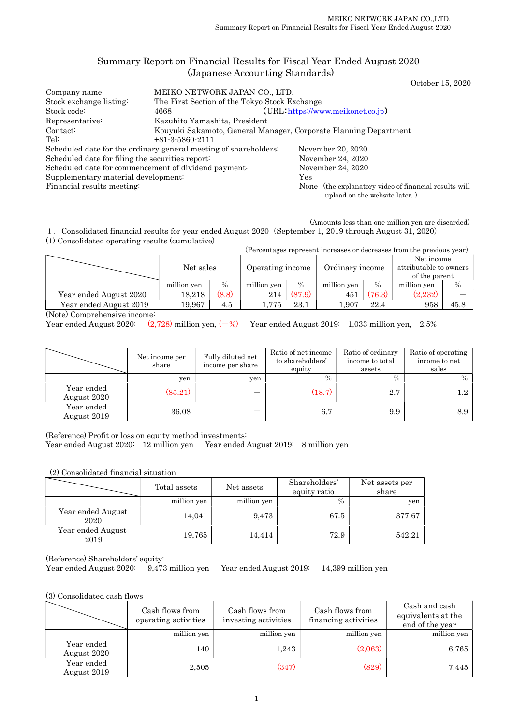# Summary Report on Financial Results for Fiscal Year Ended August 2020 (Japanese Accounting Standards)

October 15, 2020

| Company name:                                    | MEIKO NETWORK JAPAN CO., LTD.                                    |                                                                                        |  |  |  |  |
|--------------------------------------------------|------------------------------------------------------------------|----------------------------------------------------------------------------------------|--|--|--|--|
| Stock exchange listing:                          |                                                                  | The First Section of the Tokyo Stock Exchange                                          |  |  |  |  |
| Stock code:                                      | 4668                                                             | $(URL https://www.meikonet.co.jp)$                                                     |  |  |  |  |
| Representative:                                  | Kazuhito Yamashita, President                                    |                                                                                        |  |  |  |  |
| Contact:                                         | Kouyuki Sakamoto, General Manager, Corporate Planning Department |                                                                                        |  |  |  |  |
| Tel:                                             | $+81-3-5860-2111$                                                |                                                                                        |  |  |  |  |
|                                                  | Scheduled date for the ordinary general meeting of shareholders: | November 20, 2020                                                                      |  |  |  |  |
| Scheduled date for filing the securities report: |                                                                  | November 24, 2020                                                                      |  |  |  |  |
|                                                  | Scheduled date for commencement of dividend payment:             | November 24, 2020                                                                      |  |  |  |  |
| Supplementary material development:              |                                                                  | Yes                                                                                    |  |  |  |  |
| Financial results meeting:                       |                                                                  | None (the explanatory video of financial results will<br>upload on the website later.) |  |  |  |  |

(Amounts less than one million yen are discarded) 1.Consolidated financial results for year ended August 2020(September 1, 2019 through August 31, 2020)

(1) Consolidated operating results (cumulative)

|                                                |             |               |                  |        |                 |               | (Percentages represent increases or decreases from the previous year) |      |
|------------------------------------------------|-------------|---------------|------------------|--------|-----------------|---------------|-----------------------------------------------------------------------|------|
|                                                | Net sales   |               | Operating income |        | Ordinary income |               | Net income<br>attributable to owners<br>of the parent                 |      |
|                                                | million yen | $\frac{0}{0}$ | million yen      | $\%$   | million yen     | $\frac{0}{0}$ | million yen                                                           | $\%$ |
| Year ended August 2020                         | 18,218      | (8.8)         | 214              | (87.9) | 451             | (76.3)        | (2,232)                                                               |      |
| Year ended August 2019<br>$\sim$ $\sim$ $\sim$ | 19,967      | 4.5           | 1,775            | 23.1   | 1.907           | 22.4          | 958                                                                   | 45.8 |

(Note) Comprehensive income:

Year ended August 2020:  $(2,728)$  million yen,  $(-\%)$  Year ended August 2019: 1,033 million yen, 2.5%

|                           | Net income per<br>share | Fully diluted net<br>income per share | Ratio of net income<br>to shareholders'<br>equity | Ratio of ordinary<br>income to total<br>assets | Ratio of operating<br>income to net<br>sales |
|---------------------------|-------------------------|---------------------------------------|---------------------------------------------------|------------------------------------------------|----------------------------------------------|
|                           | yen                     | yen                                   | $\frac{0}{0}$                                     | $\frac{0}{0}$                                  | $\frac{0}{0}$                                |
| Year ended<br>August 2020 | (85.21)                 |                                       | (18.7)                                            | 2.7                                            | 1.2                                          |
| Year ended<br>August 2019 | 36.08                   |                                       | 6.7                                               | 9.9                                            | 8.9                                          |

(Reference) Profit or loss on equity method investments:

Year ended August 2020: 12 million yen Year ended August 2019: 8 million yen

(2) Consolidated financial situation

|                           | Total assets | Net assets  | Shareholders'<br>equity ratio | Net assets per<br>share |
|---------------------------|--------------|-------------|-------------------------------|-------------------------|
|                           | million yen  | million yen | $\%$                          | yen                     |
| Year ended August<br>2020 | 14,041       | 9,473       | 67.5                          | 377.67                  |
| Year ended August<br>2019 | 19,765       | 14,414      | 72.9                          | 542.21                  |

(Reference) Shareholders' equity:

Year ended August 2020: 9,473 million yen Year ended August 2019: 14,399 million yen

(3) Consolidated cash flows

|                           | Cash flows from<br>operating activities | Cash flows from<br>investing activities | Cash flows from<br>financing activities | Cash and cash<br>equivalents at the<br>end of the year |
|---------------------------|-----------------------------------------|-----------------------------------------|-----------------------------------------|--------------------------------------------------------|
|                           | million yen                             | million yen                             | million yen                             | million yen                                            |
| Year ended<br>August 2020 | 140                                     | 1,243                                   | (2,063)                                 | 6,765                                                  |
| Year ended<br>August 2019 | 2,505                                   | (347)                                   | (829)                                   | 7,445                                                  |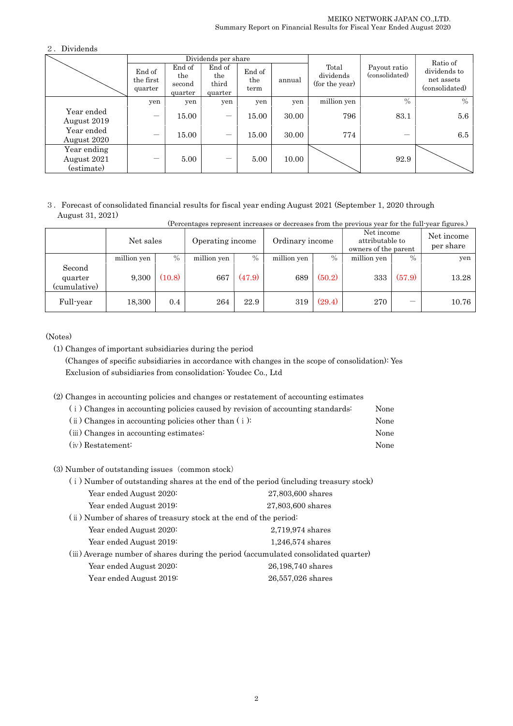# 2.Dividends

|                                          |                                |                                    | Dividends per share               |                       |        |                                      |                                | Ratio of                                     |
|------------------------------------------|--------------------------------|------------------------------------|-----------------------------------|-----------------------|--------|--------------------------------------|--------------------------------|----------------------------------------------|
|                                          | End of<br>the first<br>quarter | End of<br>the<br>second<br>quarter | End of<br>the<br>third<br>quarter | End of<br>the<br>term | annual | Total<br>dividends<br>(for the year) | Payout ratio<br>(consolidated) | dividends to<br>net assets<br>(consolidated) |
|                                          | yen                            | yen                                | yen                               | yen                   | yen    | million yen                          | $\%$                           | $\%$                                         |
| Year ended<br>August 2019                |                                | 15.00                              | —                                 | 15.00                 | 30.00  | 796                                  | 83.1                           | $5.6\,$                                      |
| Year ended<br>August 2020                |                                | 15.00                              | -                                 | 15.00                 | 30.00  | 774                                  |                                | 6.5                                          |
| Year ending<br>August 2021<br>(estimate) |                                | 5.00                               |                                   | 5.00                  | 10.00  |                                      | 92.9                           |                                              |

#### 3.Forecast of consolidated financial results for fiscal year ending August 2021 (September 1, 2020 through August 31, 2021) (Percentages represent increases or decreases from the previous year for the full-year figures.)

| <u>telentages represent increases or decreases from the previous year for the run year figures.</u> |             |         |                  |        |                 |        |                                                       |        |                         |
|-----------------------------------------------------------------------------------------------------|-------------|---------|------------------|--------|-----------------|--------|-------------------------------------------------------|--------|-------------------------|
|                                                                                                     | Net sales   |         | Operating income |        | Ordinary income |        | Net income<br>attributable to<br>owners of the parent |        | Net income<br>per share |
|                                                                                                     | million yen | $\%$    | million yen      | $\%$   | million yen     | $\%$   | million yen                                           | $\%$   | yen                     |
| Second<br>quarter<br>(cumulative)                                                                   | 9.300       | (10.8)  | 667              | (47.9) | 689             | (50.2) | 333                                                   | (57.9) | 13.28                   |
| Full-year                                                                                           | 18,300      | $0.4\,$ | 264              | 22.9   | 319             | (29.4) | 270                                                   |        | 10.76                   |

# (Notes)

(1) Changes of important subsidiaries during the period (Changes of specific subsidiaries in accordance with changes in the scope of consolidation): Yes Exclusion of subsidiaries from consolidation: Youdec Co., Ltd

(2) Changes in accounting policies and changes or restatement of accounting estimates

| (i) Changes in accounting policies caused by revision of accounting standards: | None |
|--------------------------------------------------------------------------------|------|
| $(i)$ Changes in accounting policies other than $(i)$ :                        | None |
| $(iii)$ Changes in accounting estimates:                                       | None |
| (iv) Restatement:                                                              | None |

## (3) Number of outstanding issues (common stock)

| (i) Number of outstanding shares at the end of the period (including treasury stock) |                                                                                     |  |  |  |  |  |
|--------------------------------------------------------------------------------------|-------------------------------------------------------------------------------------|--|--|--|--|--|
| Year ended August 2020:                                                              | 27,803,600 shares                                                                   |  |  |  |  |  |
| Year ended August 2019:                                                              | 27,803,600 shares                                                                   |  |  |  |  |  |
| (ii) Number of shares of treasury stock at the end of the period:                    |                                                                                     |  |  |  |  |  |
| Year ended August 2020:                                                              | 2,719,974 shares                                                                    |  |  |  |  |  |
| Year ended August 2019:                                                              | $1,246,574$ shares                                                                  |  |  |  |  |  |
|                                                                                      | (iii) Average number of shares during the period (accumulated consolidated quarter) |  |  |  |  |  |
| Year ended August 2020:                                                              | 26,198,740 shares                                                                   |  |  |  |  |  |
| Year ended August 2019:                                                              | 26,557,026 shares                                                                   |  |  |  |  |  |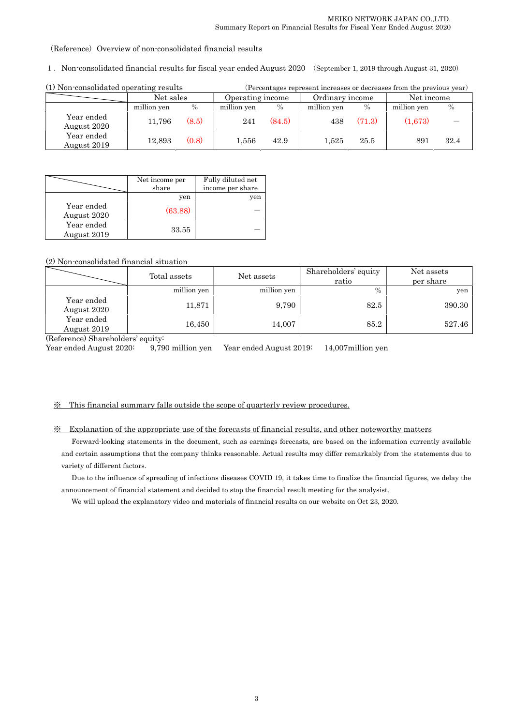(Reference) Overview of non-consolidated financial results

1.Non-consolidated financial results for fiscal year ended August 2020 (September 1, 2019 through August 31, 2020)

| (1) Non-consolidated operating results |             |       | (Percentages represent increases or decreases from the previous year) |        |                 |        |             |               |
|----------------------------------------|-------------|-------|-----------------------------------------------------------------------|--------|-----------------|--------|-------------|---------------|
|                                        | Net sales   |       | Operating income                                                      |        | Ordinary income |        | Net income  |               |
|                                        | million yen | $\%$  | million yen                                                           | $\%$   | million yen     | $\%$   | million yen | $\frac{0}{0}$ |
| Year ended<br>August 2020              | 11.796      | (8.5) | 241                                                                   | (84.5) | 438             | (71.3) | (1,673)     |               |
| Year ended<br>August 2019              | 12,893      | (0.8) | 1,556                                                                 | 42.9   | 1.525           | 25.5   | 891         | 32.4          |

|                           | Net income per | Fully diluted net |
|---------------------------|----------------|-------------------|
|                           | share          | income per share  |
|                           | yen            | yen               |
| Year ended<br>August 2020 | (63.88)        |                   |
| Year ended<br>August 2019 | 33.55          |                   |

## (2) Non-consolidated financial situation

|                           | Total assets | Net assets  | Shareholders' equity<br>ratio | Net assets<br>per share |
|---------------------------|--------------|-------------|-------------------------------|-------------------------|
|                           | million yen  | million yen | $\%$                          | yen                     |
| Year ended<br>August 2020 | 11,871       | 9,790       | 82.5                          | 390.30                  |
| Year ended<br>August 2019 | 16,450       | 14,007      | 85.2                          | 527.46                  |

(Reference) Shareholders' equity:

Year ended August 2020: 9,790 million yen Year ended August 2019: 14,007million yen

### ※ This financial summary falls outside the scope of quarterly review procedures.

## ※ Explanation of the appropriate use of the forecasts of financial results, and other noteworthy matters

Forward-looking statements in the document, such as earnings forecasts, are based on the information currently available and certain assumptions that the company thinks reasonable. Actual results may differ remarkably from the statements due to variety of different factors.

Due to the influence of spreading of infections diseases COVID 19, it takes time to finalize the financial figures, we delay the announcement of financial statement and decided to stop the financial result meeting for the analysist.

We will upload the explanatory video and materials of financial results on our website on Oct 23, 2020.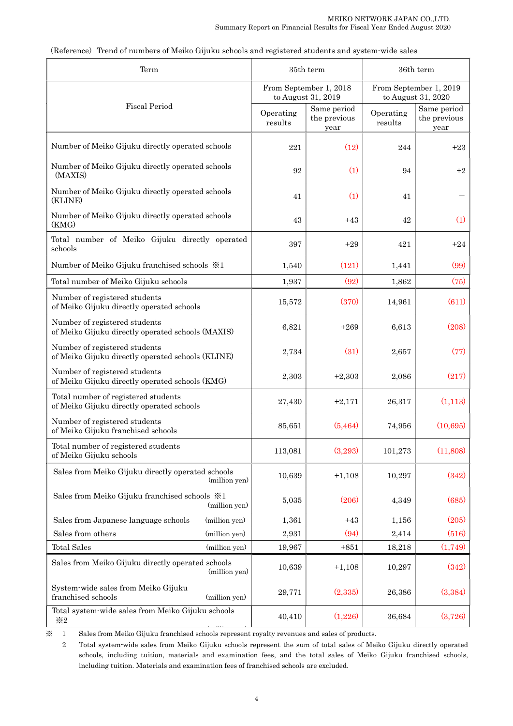| Term                                                                                |                      | 35th term                                    | 36th term            |                                              |  |  |
|-------------------------------------------------------------------------------------|----------------------|----------------------------------------------|----------------------|----------------------------------------------|--|--|
|                                                                                     |                      | From September 1, 2018<br>to August 31, 2019 |                      | From September 1, 2019<br>to August 31, 2020 |  |  |
| Fiscal Period                                                                       | Operating<br>results | Same period<br>the previous<br>year          | Operating<br>results | Same period<br>the previous<br>year          |  |  |
| Number of Meiko Gijuku directly operated schools                                    | 221                  | (12)                                         | 244                  | $+23$                                        |  |  |
| Number of Meiko Gijuku directly operated schools<br>(MAXIS)                         | 92                   | (1)                                          | 94                   | $+2$                                         |  |  |
| Number of Meiko Gijuku directly operated schools<br>(KLINE)                         | 41                   | (1)                                          | 41                   |                                              |  |  |
| Number of Meiko Gijuku directly operated schools<br>(KMG)                           | 43                   | $+43$                                        | 42                   | (1)                                          |  |  |
| Total number of Meiko Gijuku directly operated<br>schools                           | 397                  | $+29$                                        | 421                  | $+24$                                        |  |  |
| Number of Meiko Gijuku franchised schools $\frac{1}{2}$ 1                           | 1,540                | (121)                                        | 1,441                | (99)                                         |  |  |
| Total number of Meiko Gijuku schools                                                | 1,937                | (92)                                         | 1,862                | (75)                                         |  |  |
| Number of registered students<br>of Meiko Gijuku directly operated schools          | 15,572               | (370)                                        | 14,961               | (611)                                        |  |  |
| Number of registered students<br>of Meiko Gijuku directly operated schools (MAXIS)  | 6,821                | $+269$                                       | 6,613                | (208)                                        |  |  |
| Number of registered students<br>of Meiko Gijuku directly operated schools (KLINE)  | 2,734                | (31)                                         | 2,657                | (77)                                         |  |  |
| Number of registered students<br>of Meiko Gijuku directly operated schools (KMG)    | 2,303                | $+2,303$                                     | 2,086                | (217)                                        |  |  |
| Total number of registered students<br>of Meiko Gijuku directly operated schools    | 27,430               | $+2,171$                                     | 26,317               | (1,113)                                      |  |  |
| Number of registered students<br>of Meiko Gijuku franchised schools                 | 85,651               | (5, 464)                                     | 74,956               | (10,695)                                     |  |  |
| Total number of registered students<br>of Meiko Gijuku schools                      | 113,081              | (3,293)                                      | 101,273              | (11,808)                                     |  |  |
| Sales from Meiko Gijuku directly operated schools<br>(million yen)                  | 10,639               | $+1,108$                                     | 10,297               | (342)                                        |  |  |
| Sales from Meiko Gijuku franchised schools $\divideontimes 1$<br>(million yen)      | 5,035                | (206)                                        | 4,349                | (685)                                        |  |  |
| Sales from Japanese language schools<br>(million yen)                               | 1,361                | $+43$                                        | 1,156                | (205)                                        |  |  |
| Sales from others<br>(million yen)                                                  | 2,931                | (94)                                         | 2,414                | (516)                                        |  |  |
| <b>Total Sales</b><br>(million yen)                                                 | 19,967               | $+851$                                       | 18,218               | (1,749)                                      |  |  |
| Sales from Meiko Gijuku directly operated schools<br>(million yen)                  | 10,639               | $+1,108$                                     | 10,297               | (342)                                        |  |  |
| System-wide sales from Meiko Gijuku<br>franchised schools<br>$(\mbox{million yen})$ | 29,771               | (2,335)                                      | 26,386               | (3, 384)                                     |  |  |
| Total system-wide sales from Meiko Gijuku schools<br>$\divideontimes 2$             | 40,410               | (1,226)                                      | 36,684               | (3,726)                                      |  |  |

(Reference) Trend of numbers of Meiko Gijuku schools and registered students and system-wide sales

(million yen) ※ 1 Sales from Meiko Gijuku franchised schools represent royalty revenues and sales of products.

 2 Total system-wide sales from Meiko Gijuku schools represent the sum of total sales of Meiko Gijuku directly operated schools, including tuition, materials and examination fees, and the total sales of Meiko Gijuku franchised schools, including tuition. Materials and examination fees of franchised schools are excluded.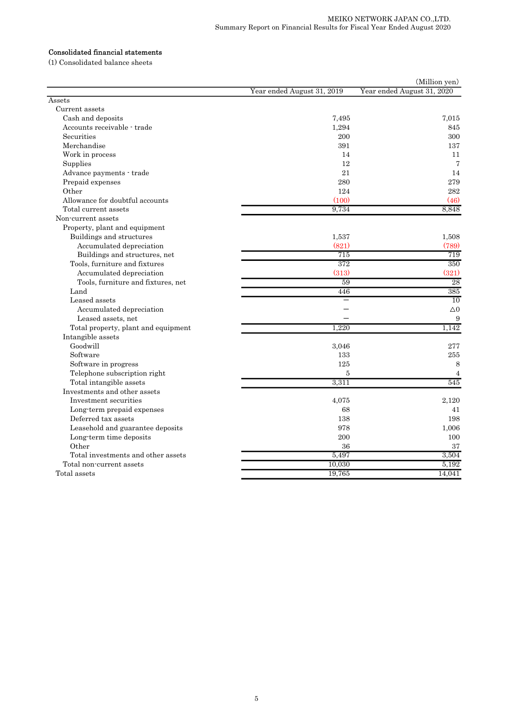# Consolidated financial statements

(1) Consolidated balance sheets

|                                     |                            | (Million yen)              |
|-------------------------------------|----------------------------|----------------------------|
|                                     | Year ended August 31, 2019 | Year ended August 31, 2020 |
| Assets                              |                            |                            |
| Current assets                      |                            |                            |
| Cash and deposits                   | 7,495                      | 7,015                      |
| Accounts receivable - trade         | 1,294                      | 845                        |
| Securities                          | 200                        | 300                        |
| Merchandise                         | 391                        | 137                        |
| Work in process                     | 14                         | 11                         |
| Supplies                            | 12                         | 7                          |
| Advance payments - trade            | 21                         | 14                         |
| Prepaid expenses                    | 280                        | 279                        |
| Other                               | 124                        | 282                        |
| Allowance for doubtful accounts     | (100)                      | (46)                       |
| Total current assets                | 9.734                      | 8.848                      |
| Non-current assets                  |                            |                            |
| Property, plant and equipment       |                            |                            |
| Buildings and structures            | 1,537                      | 1,508                      |
| Accumulated depreciation            | (821)                      | (789)                      |
| Buildings and structures, net       | 715                        | 719                        |
| Tools, furniture and fixtures       | 372                        | 350                        |
| Accumulated depreciation            | (313)                      | (321)                      |
| Tools, furniture and fixtures, net  | 59                         | 28                         |
| Land                                | 446                        | 385                        |
| Leased assets                       |                            | $\overline{10}$            |
| Accumulated depreciation            |                            | $\triangle$ <sup>0</sup>   |
| Leased assets, net                  |                            | 9                          |
| Total property, plant and equipment | 1.220                      | 1.142                      |
| Intangible assets                   |                            |                            |
| Goodwill                            | 3.046                      | 277                        |
| Software                            | 133                        | 255                        |
| Software in progress                | 125                        | 8                          |
| Telephone subscription right        | 5                          | 4                          |
| Total intangible assets             | 3,311                      | 545                        |
| Investments and other assets        |                            |                            |
| Investment securities               | 4,075                      | 2,120                      |
| Long-term prepaid expenses          | 68                         | 41                         |
| Deferred tax assets                 | 138                        | 198                        |
| Leasehold and guarantee deposits    | 978                        | 1,006                      |
| Long-term time deposits             | 200                        | 100                        |
| Other                               | 36                         | 37                         |
| Total investments and other assets  | 5,497                      | 3,504                      |
| Total non-current assets            | 10,030                     | 5,192                      |
| Total assets                        | 19,765                     | 14,041                     |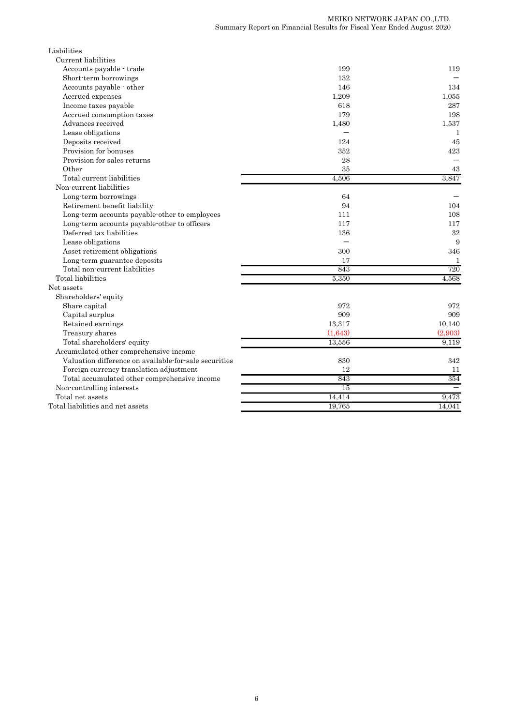| Liabilities                                           |                 |              |
|-------------------------------------------------------|-----------------|--------------|
| Current liabilities                                   |                 |              |
| Accounts payable - trade                              | 199             | 119          |
| Short-term borrowings                                 | 132             |              |
| Accounts payable - other                              | 146             | 134          |
| Accrued expenses                                      | 1,209           | 1,055        |
| Income taxes payable                                  | 618             | 287          |
| Accrued consumption taxes                             | 179             | 198          |
| Advances received                                     | 1,480           | 1,537        |
| Lease obligations                                     |                 | 1            |
| Deposits received                                     | 124             | 45           |
| Provision for bonuses                                 | 352             | 423          |
| Provision for sales returns                           | 28              |              |
| Other                                                 | 35              | 43           |
| Total current liabilities                             | 4.506           | 3,847        |
| Non-current liabilities                               |                 |              |
| Long-term borrowings                                  | 64              |              |
| Retirement benefit liability                          | 94              | 104          |
| Long-term accounts payable-other to employees         | 111             | 108          |
| Long-term accounts payable-other to officers          | 117             | 117          |
| Deferred tax liabilities                              | 136             | 32           |
| Lease obligations                                     |                 | 9            |
| Asset retirement obligations                          | 300             | 346          |
| Long-term guarantee deposits                          | 17              | $\mathbf{1}$ |
| Total non-current liabilities                         | 843             | 720          |
| Total liabilities                                     | 5,350           | 4.568        |
| Net assets                                            |                 |              |
| Shareholders' equity                                  |                 |              |
| Share capital                                         | 972             | 972          |
| Capital surplus                                       | 909             | 909          |
| Retained earnings                                     | 13,317          | 10,140       |
| Treasury shares                                       | (1,643)         | (2,903)      |
| Total shareholders' equity                            | 13,556          | 9,119        |
| Accumulated other comprehensive income                |                 |              |
| Valuation difference on available-for-sale securities | 830             | 342          |
| Foreign currency translation adjustment               | 12              | 11           |
| Total accumulated other comprehensive income          | 843             | 354          |
| Non-controlling interests                             | $\overline{15}$ |              |
| Total net assets                                      | 14,414          | 9,473        |
| Total liabilities and net assets                      | 19,765          | 14,041       |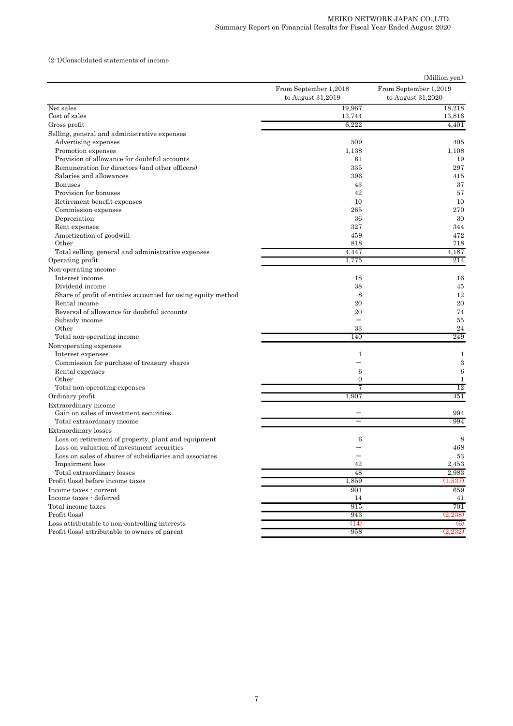### (2-1)Consolidated statements of income

|                                                               |                       | (Million yen)         |
|---------------------------------------------------------------|-----------------------|-----------------------|
|                                                               | From September 1,2018 | From September 1,2019 |
|                                                               | to August $31,2019$   | to August $31,2020$   |
| Net sales                                                     | 19,967                | 18,218                |
| Cost of sales                                                 | 13,744                | 13,816                |
| Gross profit                                                  | 6,222                 | 4,401                 |
| Selling, general and administrative expenses                  |                       |                       |
| Advertising expenses                                          | 509                   | 405                   |
| Promotion expenses                                            | 1,138                 | 1,108                 |
| Provision of allowance for doubtful accounts                  | 61                    | 19                    |
| Remuneration for directors (and other officers)               | 335                   | 297                   |
| Salaries and allowances                                       | 396                   | 415                   |
| <b>Bonuses</b>                                                | 43                    | 37                    |
| Provision for bonuses                                         | 42                    | 57                    |
| Retirement benefit expenses                                   | 10                    | 10                    |
| Commission expenses                                           | 265                   | 270                   |
| Depreciation                                                  | 36                    | 30                    |
| Rent expenses                                                 | 327                   | 344                   |
| Amortization of goodwill                                      | 459                   | 472                   |
| Other                                                         | 818                   | 718                   |
| Total selling, general and administrative expenses            | 4,447                 | 4,187                 |
| Operating profit                                              | 1,775                 | 214                   |
| Non-operating income                                          |                       |                       |
| Interest income                                               | 18                    | 16                    |
| Dividend income                                               | 38                    | 45                    |
| Share of profit of entities accounted for using equity method | 8                     | 12                    |
| Rental income                                                 | 20                    | 20                    |
| Reversal of allowance for doubtful accounts                   | 20                    | 74                    |
| Subsidy income                                                |                       | 55                    |
| Other                                                         | 33                    | 24                    |
| Total non-operating income                                    | 140                   | 249                   |
| Non-operating expenses                                        |                       |                       |
| Interest expenses                                             | 1                     | 1                     |
| Commission for purchase of treasury shares                    |                       | 3                     |
| Rental expenses                                               | 6                     | 6                     |
| Other                                                         | 0                     | $\mathbf{1}$          |
| Total non-operating expenses                                  | 7                     | 12                    |
| Ordinary profit                                               | 1,907                 | 451                   |
| Extraordinary income                                          |                       |                       |
| Gain on sales of investment securities                        |                       | 994                   |
| Total extraordinary income                                    |                       | 994                   |
| Extraordinary losses                                          |                       |                       |
| Loss on retirement of property, plant and equipment           | 6                     | 8                     |
| Loss on valuation of investment securities                    |                       | 468                   |
| Loss on sales of shares of subsidiaries and associates        |                       | 53                    |
| Impairment loss                                               | 42                    | 2,453                 |
| Total extraordinary losses                                    | 48                    | 2,983                 |
| Profit (loss) before income taxes                             | 1,859                 | (1,537)               |
| Income taxes - current                                        | 901                   | 659                   |
| Income taxes - deferred                                       | 14                    | 41                    |
| Total income taxes                                            | 915                   | 701                   |
| Profit (loss)                                                 | 943                   | (2,238)               |
| Loss attributable to non-controlling interests                | (14)                  | $\left(6\right)$      |
| Profit (loss) attributable to owners of parent                | 958                   | (2,232)               |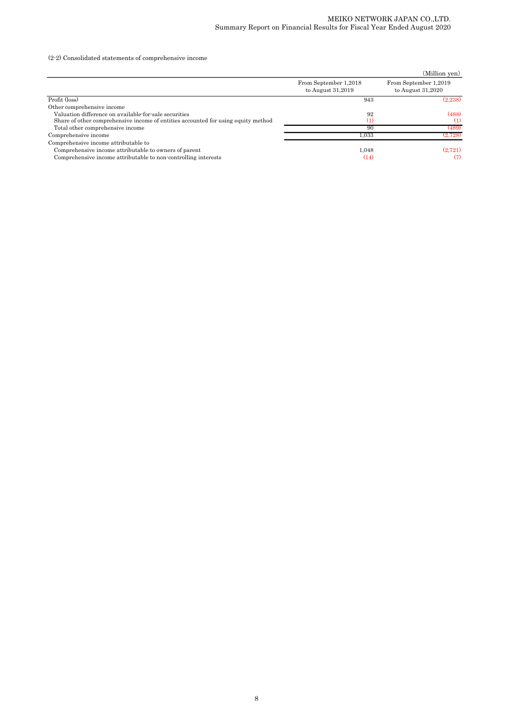(2-2) Consolidated statements of comprehensive income

|                                                                                   |                                              | (Million yen)                                |
|-----------------------------------------------------------------------------------|----------------------------------------------|----------------------------------------------|
|                                                                                   | From September 1,2018<br>to August $31,2019$ | From September 1,2019<br>to August $31,2020$ |
| Profit (loss)                                                                     | 943                                          | (2.238)                                      |
| Other comprehensive income                                                        |                                              |                                              |
| Valuation difference on available for sale securities                             | 92                                           | (488)                                        |
| Share of other comprehensive income of entities accounted for using equity method | (1)                                          | (1)                                          |
| Total other comprehensive income                                                  | 90                                           | (489)                                        |
| Comprehensive income                                                              | 1.033                                        | (2.728)                                      |
| Comprehensive income attributable to                                              |                                              |                                              |
| Comprehensive income attributable to owners of parent                             | 1.048                                        | (2,721)                                      |
| Comprehensive income attributable to non-controlling interests                    | (14)                                         | (7)                                          |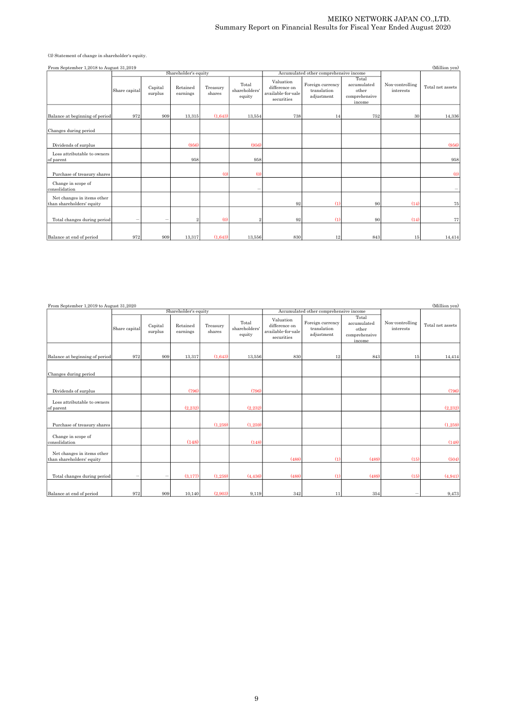(3) Statement of change in shareholder's equity.

| From September 1,2018 to August 31,2019                 |                   |                    |                      |                    |                                  |                                                                |                                               |                                                          |                              | (Million yen)    |  |
|---------------------------------------------------------|-------------------|--------------------|----------------------|--------------------|----------------------------------|----------------------------------------------------------------|-----------------------------------------------|----------------------------------------------------------|------------------------------|------------------|--|
|                                                         |                   |                    | Shareholder's equity |                    |                                  |                                                                | Accumulated other comprehensive income        |                                                          |                              |                  |  |
|                                                         | Share capital     | Capital<br>surplus | Retained<br>earnings | Treasury<br>shares | Total<br>shareholders'<br>equity | Valuation<br>difference on<br>available-for-sale<br>securities | Foreign currency<br>translation<br>adjustment | Total<br>accumulated<br>other<br>comprehensive<br>income | Non-controlling<br>interests | Total net assets |  |
| Balance at beginning of period                          | 972               | 909                | 13,315               | (1,643)            | 13,554                           | 738                                                            | 14                                            | 752                                                      | 30                           | 14,336           |  |
| Changes during period                                   |                   |                    |                      |                    |                                  |                                                                |                                               |                                                          |                              |                  |  |
| Dividends of surplus                                    |                   |                    | (956)                |                    | (956)                            |                                                                |                                               |                                                          |                              | (956)            |  |
| Loss attributable to owners<br>of parent                |                   |                    | 958                  |                    | 958                              |                                                                |                                               |                                                          |                              | 958              |  |
| Purchase of treasury shares                             |                   |                    |                      | $\omega$           | $\omega$                         |                                                                |                                               |                                                          |                              | (0)              |  |
| Change in scope of<br>consolidation                     |                   |                    |                      |                    | $\sim$                           |                                                                |                                               |                                                          |                              |                  |  |
| Net changes in items other<br>than shareholders' equity |                   |                    |                      |                    |                                  | 92                                                             | (1)                                           | 90                                                       | (14)                         | 75               |  |
| Total changes during period                             | $\qquad \qquad -$ |                    | $\overline{2}$       | $\omega$           | $\overline{2}$                   | 92                                                             | $\left( 1\right)$                             | 90                                                       | (14)                         | 77               |  |
| Balance at end of period                                | 972               | 909                | 13,317               | (1,643)            | 13,556                           | 830                                                            | 12                                            | 843                                                      | 15                           | 14,414           |  |

| From September 1,2019 to August 31,2020                 |                                                                           |                    |                      |                    |                                  |                                                                |                                               |                                                          |                              | (Million yen)    |  |
|---------------------------------------------------------|---------------------------------------------------------------------------|--------------------|----------------------|--------------------|----------------------------------|----------------------------------------------------------------|-----------------------------------------------|----------------------------------------------------------|------------------------------|------------------|--|
|                                                         |                                                                           |                    | Shareholder's equity |                    |                                  |                                                                | Accumulated other comprehensive income        |                                                          |                              |                  |  |
|                                                         | Share capital                                                             | Capital<br>surplus | Retained<br>earnings | Treasury<br>shares | Total<br>shareholders'<br>equity | Valuation<br>difference on<br>available-for-sale<br>securities | Foreign currency<br>translation<br>adjustment | Total<br>accumulated<br>other<br>comprehensive<br>income | Non-controlling<br>interests | Total net assets |  |
| Balance at beginning of period                          | 972                                                                       | 909                | 13,317               | (1,643)            | 13,556                           | 830                                                            | 12                                            | 843                                                      | 15                           | 14,414           |  |
| Changes during period                                   |                                                                           |                    |                      |                    |                                  |                                                                |                                               |                                                          |                              |                  |  |
| Dividends of surplus                                    |                                                                           |                    | (796)                |                    | (796)                            |                                                                |                                               |                                                          |                              | (796)            |  |
| Loss attributable to owners<br>of parent                |                                                                           |                    | (2,232)              |                    | (2,232)                          |                                                                |                                               |                                                          |                              | (2,232)          |  |
| Purchase of treasury shares                             |                                                                           |                    |                      | (1.259)            | (1.259)                          |                                                                |                                               |                                                          |                              | (1,259)          |  |
| Change in scope of<br>consolidation                     |                                                                           |                    | (148)                |                    | (148)                            |                                                                |                                               |                                                          |                              | (148)            |  |
| Net changes in items other<br>than shareholders' equity |                                                                           |                    |                      |                    |                                  | (488)                                                          | (1)                                           | (489)                                                    | (15)                         | (504)            |  |
| Total changes during period                             | $\hspace{1.0cm} \rule{1.5cm}{0.15cm} \hspace{1.0cm} \rule{1.5cm}{0.15cm}$ |                    | (3,177)              | (1,259)            | (4, 436)                         | (488)                                                          | (1)                                           | (489)                                                    | (15)                         | (4, 941)         |  |
| Balance at end of period                                | 972                                                                       | 909                | 10.140               | (2.903)            | 9.119                            | 342                                                            | 11                                            | 354                                                      |                              | 9,473            |  |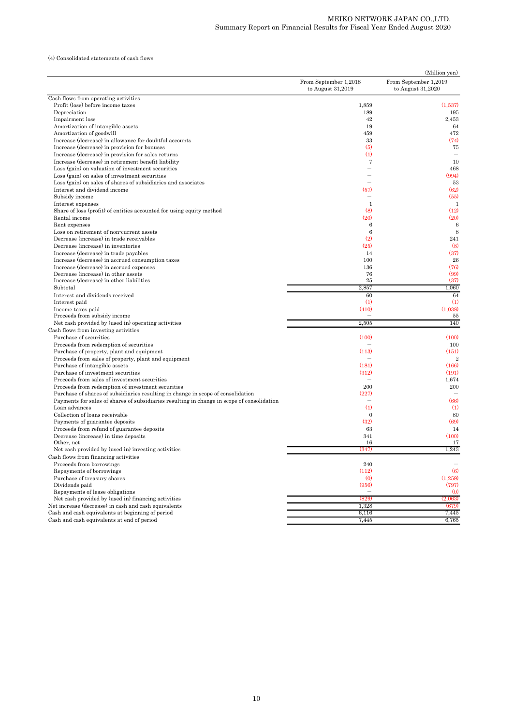(4) Consolidated statements of cash flows

| From September 1,2018<br>From September 1,2019<br>to August 31,2019<br>to August 31,2020<br>Cash flows from operating activities<br>Profit (loss) before income taxes<br>1,859<br>(1,537)<br>189<br>195<br>Depreciation<br>Impairment loss<br>42<br>2,453<br>Amortization of intangible assets<br>19<br>64<br>472<br>Amortization of goodwill<br>459<br>Increase (decrease) in allowance for doubtful accounts<br>33<br>(74)<br>(5)<br>75<br>Increase (decrease) in provision for bonuses<br>Increase (decrease) in provision for sales returns<br>(1)<br>Increase (decrease) in retirement benefit liability<br>$\overline{7}$<br>10<br>Loss (gain) on valuation of investment securities<br>468<br>(994)<br>Loss (gain) on sales of investment securities<br>Loss (gain) on sales of shares of subsidiaries and associates<br>53<br>(62)<br>Interest and dividend income<br>(57)<br>Subsidy income<br>(55)<br>$\overline{\phantom{a}}$<br>Interest expenses<br>$\mathbf{1}$<br>$\mathbf{1}$<br>(8)<br>(12)<br>Share of loss (profit) of entities accounted for using equity method<br>(20)<br>Rental income<br>(20)<br>6<br>Rent expenses<br>6<br>8<br>Loss on retirement of non-current assets<br>6<br>Decrease (increase) in trade receivables<br>(2)<br>241<br>(25)<br>Decrease (increase) in inventories<br>$\left(8\right)$<br>(37)<br>Increase (decrease) in trade payables<br>14<br>26<br>Increase (decrease) in accrued consumption taxes<br>100<br>(76)<br>Increase (decrease) in accrued expenses<br>136<br>(99)<br>Decrease (increase) in other assets<br>76<br>(37)<br>Increase (decrease) in other liabilities<br>25<br>Subtotal<br>2,857<br>1,060<br>Interest and dividends received<br>60<br>64<br>$\left( 1\right)$<br>(1)<br>Interest paid<br>(410)<br>(1,038)<br>Income taxes paid<br>Proceeds from subsidy income<br>55<br>$\overline{\phantom{a}}$<br>140<br>Net cash provided by (used in) operating activities<br>2,505<br>Cash flows from investing activities<br>(100)<br>(100)<br>Purchase of securities<br>Proceeds from redemption of securities<br>100<br>$\overline{\phantom{a}}$<br>Purchase of property, plant and equipment<br>(113)<br>(151)<br>Proceeds from sales of property, plant and equipment<br>$\overline{2}$<br>(166)<br>Purchase of intangible assets<br>(181)<br>Purchase of investment securities<br>(312)<br>(191)<br>Proceeds from sales of investment securities<br>1,674<br>200<br>Proceeds from redemption of investment securities<br>200<br>Purchase of shares of subsidiaries resulting in change in scope of consolidation<br>(227)<br>(66)<br>Payments for sales of shares of subsidiaries resulting in change in scope of consolidation<br>(1)<br>Loan advances<br>(1)<br>$\overline{0}$<br>Collection of loans receivable<br>80<br>(32)<br>(69)<br>Payments of guarantee deposits<br>Proceeds from refund of guarantee deposits<br>63<br>14<br>(100)<br>Decrease (increase) in time deposits<br>341<br>Other, net<br>16<br>17<br>1,243<br>Net cash provided by (used in) investing activities<br>(347)<br>Cash flows from financing activities<br>Proceeds from borrowings<br>240<br>Repayments of borrowings<br>(112)<br>$\left(6\right)$<br>$\left( 0 \right)$<br>Purchase of treasury shares<br>(1,259)<br>Dividends paid<br>(956)<br>(797)<br>Repayments of lease obligations<br>$\omega$<br>Net cash provided by (used in) financing activities<br>(829)<br>(2,063)<br>Net increase (decrease) in cash and cash equivalents<br>1,328<br>(679)<br>Cash and cash equivalents at beginning of period<br>6,116<br>7,445<br>Cash and cash equivalents at end of period<br>7,445<br>6,765 |  | (Million yen) |
|------------------------------------------------------------------------------------------------------------------------------------------------------------------------------------------------------------------------------------------------------------------------------------------------------------------------------------------------------------------------------------------------------------------------------------------------------------------------------------------------------------------------------------------------------------------------------------------------------------------------------------------------------------------------------------------------------------------------------------------------------------------------------------------------------------------------------------------------------------------------------------------------------------------------------------------------------------------------------------------------------------------------------------------------------------------------------------------------------------------------------------------------------------------------------------------------------------------------------------------------------------------------------------------------------------------------------------------------------------------------------------------------------------------------------------------------------------------------------------------------------------------------------------------------------------------------------------------------------------------------------------------------------------------------------------------------------------------------------------------------------------------------------------------------------------------------------------------------------------------------------------------------------------------------------------------------------------------------------------------------------------------------------------------------------------------------------------------------------------------------------------------------------------------------------------------------------------------------------------------------------------------------------------------------------------------------------------------------------------------------------------------------------------------------------------------------------------------------------------------------------------------------------------------------------------------------------------------------------------------------------------------------------------------------------------------------------------------------------------------------------------------------------------------------------------------------------------------------------------------------------------------------------------------------------------------------------------------------------------------------------------------------------------------------------------------------------------------------------------------------------------------------------------------------------------------------------------------------------------------------------------------------------------------------------------------------------------------------------------------------------------------------------------------------------------------------------------------------------------------------------------------------------------------------------------------------------------------------------------------------------------------------------|--|---------------|
|                                                                                                                                                                                                                                                                                                                                                                                                                                                                                                                                                                                                                                                                                                                                                                                                                                                                                                                                                                                                                                                                                                                                                                                                                                                                                                                                                                                                                                                                                                                                                                                                                                                                                                                                                                                                                                                                                                                                                                                                                                                                                                                                                                                                                                                                                                                                                                                                                                                                                                                                                                                                                                                                                                                                                                                                                                                                                                                                                                                                                                                                                                                                                                                                                                                                                                                                                                                                                                                                                                                                                                                                                                                      |  |               |
|                                                                                                                                                                                                                                                                                                                                                                                                                                                                                                                                                                                                                                                                                                                                                                                                                                                                                                                                                                                                                                                                                                                                                                                                                                                                                                                                                                                                                                                                                                                                                                                                                                                                                                                                                                                                                                                                                                                                                                                                                                                                                                                                                                                                                                                                                                                                                                                                                                                                                                                                                                                                                                                                                                                                                                                                                                                                                                                                                                                                                                                                                                                                                                                                                                                                                                                                                                                                                                                                                                                                                                                                                                                      |  |               |
|                                                                                                                                                                                                                                                                                                                                                                                                                                                                                                                                                                                                                                                                                                                                                                                                                                                                                                                                                                                                                                                                                                                                                                                                                                                                                                                                                                                                                                                                                                                                                                                                                                                                                                                                                                                                                                                                                                                                                                                                                                                                                                                                                                                                                                                                                                                                                                                                                                                                                                                                                                                                                                                                                                                                                                                                                                                                                                                                                                                                                                                                                                                                                                                                                                                                                                                                                                                                                                                                                                                                                                                                                                                      |  |               |
|                                                                                                                                                                                                                                                                                                                                                                                                                                                                                                                                                                                                                                                                                                                                                                                                                                                                                                                                                                                                                                                                                                                                                                                                                                                                                                                                                                                                                                                                                                                                                                                                                                                                                                                                                                                                                                                                                                                                                                                                                                                                                                                                                                                                                                                                                                                                                                                                                                                                                                                                                                                                                                                                                                                                                                                                                                                                                                                                                                                                                                                                                                                                                                                                                                                                                                                                                                                                                                                                                                                                                                                                                                                      |  |               |
|                                                                                                                                                                                                                                                                                                                                                                                                                                                                                                                                                                                                                                                                                                                                                                                                                                                                                                                                                                                                                                                                                                                                                                                                                                                                                                                                                                                                                                                                                                                                                                                                                                                                                                                                                                                                                                                                                                                                                                                                                                                                                                                                                                                                                                                                                                                                                                                                                                                                                                                                                                                                                                                                                                                                                                                                                                                                                                                                                                                                                                                                                                                                                                                                                                                                                                                                                                                                                                                                                                                                                                                                                                                      |  |               |
|                                                                                                                                                                                                                                                                                                                                                                                                                                                                                                                                                                                                                                                                                                                                                                                                                                                                                                                                                                                                                                                                                                                                                                                                                                                                                                                                                                                                                                                                                                                                                                                                                                                                                                                                                                                                                                                                                                                                                                                                                                                                                                                                                                                                                                                                                                                                                                                                                                                                                                                                                                                                                                                                                                                                                                                                                                                                                                                                                                                                                                                                                                                                                                                                                                                                                                                                                                                                                                                                                                                                                                                                                                                      |  |               |
|                                                                                                                                                                                                                                                                                                                                                                                                                                                                                                                                                                                                                                                                                                                                                                                                                                                                                                                                                                                                                                                                                                                                                                                                                                                                                                                                                                                                                                                                                                                                                                                                                                                                                                                                                                                                                                                                                                                                                                                                                                                                                                                                                                                                                                                                                                                                                                                                                                                                                                                                                                                                                                                                                                                                                                                                                                                                                                                                                                                                                                                                                                                                                                                                                                                                                                                                                                                                                                                                                                                                                                                                                                                      |  |               |
|                                                                                                                                                                                                                                                                                                                                                                                                                                                                                                                                                                                                                                                                                                                                                                                                                                                                                                                                                                                                                                                                                                                                                                                                                                                                                                                                                                                                                                                                                                                                                                                                                                                                                                                                                                                                                                                                                                                                                                                                                                                                                                                                                                                                                                                                                                                                                                                                                                                                                                                                                                                                                                                                                                                                                                                                                                                                                                                                                                                                                                                                                                                                                                                                                                                                                                                                                                                                                                                                                                                                                                                                                                                      |  |               |
|                                                                                                                                                                                                                                                                                                                                                                                                                                                                                                                                                                                                                                                                                                                                                                                                                                                                                                                                                                                                                                                                                                                                                                                                                                                                                                                                                                                                                                                                                                                                                                                                                                                                                                                                                                                                                                                                                                                                                                                                                                                                                                                                                                                                                                                                                                                                                                                                                                                                                                                                                                                                                                                                                                                                                                                                                                                                                                                                                                                                                                                                                                                                                                                                                                                                                                                                                                                                                                                                                                                                                                                                                                                      |  |               |
|                                                                                                                                                                                                                                                                                                                                                                                                                                                                                                                                                                                                                                                                                                                                                                                                                                                                                                                                                                                                                                                                                                                                                                                                                                                                                                                                                                                                                                                                                                                                                                                                                                                                                                                                                                                                                                                                                                                                                                                                                                                                                                                                                                                                                                                                                                                                                                                                                                                                                                                                                                                                                                                                                                                                                                                                                                                                                                                                                                                                                                                                                                                                                                                                                                                                                                                                                                                                                                                                                                                                                                                                                                                      |  |               |
|                                                                                                                                                                                                                                                                                                                                                                                                                                                                                                                                                                                                                                                                                                                                                                                                                                                                                                                                                                                                                                                                                                                                                                                                                                                                                                                                                                                                                                                                                                                                                                                                                                                                                                                                                                                                                                                                                                                                                                                                                                                                                                                                                                                                                                                                                                                                                                                                                                                                                                                                                                                                                                                                                                                                                                                                                                                                                                                                                                                                                                                                                                                                                                                                                                                                                                                                                                                                                                                                                                                                                                                                                                                      |  |               |
|                                                                                                                                                                                                                                                                                                                                                                                                                                                                                                                                                                                                                                                                                                                                                                                                                                                                                                                                                                                                                                                                                                                                                                                                                                                                                                                                                                                                                                                                                                                                                                                                                                                                                                                                                                                                                                                                                                                                                                                                                                                                                                                                                                                                                                                                                                                                                                                                                                                                                                                                                                                                                                                                                                                                                                                                                                                                                                                                                                                                                                                                                                                                                                                                                                                                                                                                                                                                                                                                                                                                                                                                                                                      |  |               |
|                                                                                                                                                                                                                                                                                                                                                                                                                                                                                                                                                                                                                                                                                                                                                                                                                                                                                                                                                                                                                                                                                                                                                                                                                                                                                                                                                                                                                                                                                                                                                                                                                                                                                                                                                                                                                                                                                                                                                                                                                                                                                                                                                                                                                                                                                                                                                                                                                                                                                                                                                                                                                                                                                                                                                                                                                                                                                                                                                                                                                                                                                                                                                                                                                                                                                                                                                                                                                                                                                                                                                                                                                                                      |  |               |
|                                                                                                                                                                                                                                                                                                                                                                                                                                                                                                                                                                                                                                                                                                                                                                                                                                                                                                                                                                                                                                                                                                                                                                                                                                                                                                                                                                                                                                                                                                                                                                                                                                                                                                                                                                                                                                                                                                                                                                                                                                                                                                                                                                                                                                                                                                                                                                                                                                                                                                                                                                                                                                                                                                                                                                                                                                                                                                                                                                                                                                                                                                                                                                                                                                                                                                                                                                                                                                                                                                                                                                                                                                                      |  |               |
|                                                                                                                                                                                                                                                                                                                                                                                                                                                                                                                                                                                                                                                                                                                                                                                                                                                                                                                                                                                                                                                                                                                                                                                                                                                                                                                                                                                                                                                                                                                                                                                                                                                                                                                                                                                                                                                                                                                                                                                                                                                                                                                                                                                                                                                                                                                                                                                                                                                                                                                                                                                                                                                                                                                                                                                                                                                                                                                                                                                                                                                                                                                                                                                                                                                                                                                                                                                                                                                                                                                                                                                                                                                      |  |               |
|                                                                                                                                                                                                                                                                                                                                                                                                                                                                                                                                                                                                                                                                                                                                                                                                                                                                                                                                                                                                                                                                                                                                                                                                                                                                                                                                                                                                                                                                                                                                                                                                                                                                                                                                                                                                                                                                                                                                                                                                                                                                                                                                                                                                                                                                                                                                                                                                                                                                                                                                                                                                                                                                                                                                                                                                                                                                                                                                                                                                                                                                                                                                                                                                                                                                                                                                                                                                                                                                                                                                                                                                                                                      |  |               |
|                                                                                                                                                                                                                                                                                                                                                                                                                                                                                                                                                                                                                                                                                                                                                                                                                                                                                                                                                                                                                                                                                                                                                                                                                                                                                                                                                                                                                                                                                                                                                                                                                                                                                                                                                                                                                                                                                                                                                                                                                                                                                                                                                                                                                                                                                                                                                                                                                                                                                                                                                                                                                                                                                                                                                                                                                                                                                                                                                                                                                                                                                                                                                                                                                                                                                                                                                                                                                                                                                                                                                                                                                                                      |  |               |
|                                                                                                                                                                                                                                                                                                                                                                                                                                                                                                                                                                                                                                                                                                                                                                                                                                                                                                                                                                                                                                                                                                                                                                                                                                                                                                                                                                                                                                                                                                                                                                                                                                                                                                                                                                                                                                                                                                                                                                                                                                                                                                                                                                                                                                                                                                                                                                                                                                                                                                                                                                                                                                                                                                                                                                                                                                                                                                                                                                                                                                                                                                                                                                                                                                                                                                                                                                                                                                                                                                                                                                                                                                                      |  |               |
|                                                                                                                                                                                                                                                                                                                                                                                                                                                                                                                                                                                                                                                                                                                                                                                                                                                                                                                                                                                                                                                                                                                                                                                                                                                                                                                                                                                                                                                                                                                                                                                                                                                                                                                                                                                                                                                                                                                                                                                                                                                                                                                                                                                                                                                                                                                                                                                                                                                                                                                                                                                                                                                                                                                                                                                                                                                                                                                                                                                                                                                                                                                                                                                                                                                                                                                                                                                                                                                                                                                                                                                                                                                      |  |               |
|                                                                                                                                                                                                                                                                                                                                                                                                                                                                                                                                                                                                                                                                                                                                                                                                                                                                                                                                                                                                                                                                                                                                                                                                                                                                                                                                                                                                                                                                                                                                                                                                                                                                                                                                                                                                                                                                                                                                                                                                                                                                                                                                                                                                                                                                                                                                                                                                                                                                                                                                                                                                                                                                                                                                                                                                                                                                                                                                                                                                                                                                                                                                                                                                                                                                                                                                                                                                                                                                                                                                                                                                                                                      |  |               |
|                                                                                                                                                                                                                                                                                                                                                                                                                                                                                                                                                                                                                                                                                                                                                                                                                                                                                                                                                                                                                                                                                                                                                                                                                                                                                                                                                                                                                                                                                                                                                                                                                                                                                                                                                                                                                                                                                                                                                                                                                                                                                                                                                                                                                                                                                                                                                                                                                                                                                                                                                                                                                                                                                                                                                                                                                                                                                                                                                                                                                                                                                                                                                                                                                                                                                                                                                                                                                                                                                                                                                                                                                                                      |  |               |
|                                                                                                                                                                                                                                                                                                                                                                                                                                                                                                                                                                                                                                                                                                                                                                                                                                                                                                                                                                                                                                                                                                                                                                                                                                                                                                                                                                                                                                                                                                                                                                                                                                                                                                                                                                                                                                                                                                                                                                                                                                                                                                                                                                                                                                                                                                                                                                                                                                                                                                                                                                                                                                                                                                                                                                                                                                                                                                                                                                                                                                                                                                                                                                                                                                                                                                                                                                                                                                                                                                                                                                                                                                                      |  |               |
|                                                                                                                                                                                                                                                                                                                                                                                                                                                                                                                                                                                                                                                                                                                                                                                                                                                                                                                                                                                                                                                                                                                                                                                                                                                                                                                                                                                                                                                                                                                                                                                                                                                                                                                                                                                                                                                                                                                                                                                                                                                                                                                                                                                                                                                                                                                                                                                                                                                                                                                                                                                                                                                                                                                                                                                                                                                                                                                                                                                                                                                                                                                                                                                                                                                                                                                                                                                                                                                                                                                                                                                                                                                      |  |               |
|                                                                                                                                                                                                                                                                                                                                                                                                                                                                                                                                                                                                                                                                                                                                                                                                                                                                                                                                                                                                                                                                                                                                                                                                                                                                                                                                                                                                                                                                                                                                                                                                                                                                                                                                                                                                                                                                                                                                                                                                                                                                                                                                                                                                                                                                                                                                                                                                                                                                                                                                                                                                                                                                                                                                                                                                                                                                                                                                                                                                                                                                                                                                                                                                                                                                                                                                                                                                                                                                                                                                                                                                                                                      |  |               |
|                                                                                                                                                                                                                                                                                                                                                                                                                                                                                                                                                                                                                                                                                                                                                                                                                                                                                                                                                                                                                                                                                                                                                                                                                                                                                                                                                                                                                                                                                                                                                                                                                                                                                                                                                                                                                                                                                                                                                                                                                                                                                                                                                                                                                                                                                                                                                                                                                                                                                                                                                                                                                                                                                                                                                                                                                                                                                                                                                                                                                                                                                                                                                                                                                                                                                                                                                                                                                                                                                                                                                                                                                                                      |  |               |
|                                                                                                                                                                                                                                                                                                                                                                                                                                                                                                                                                                                                                                                                                                                                                                                                                                                                                                                                                                                                                                                                                                                                                                                                                                                                                                                                                                                                                                                                                                                                                                                                                                                                                                                                                                                                                                                                                                                                                                                                                                                                                                                                                                                                                                                                                                                                                                                                                                                                                                                                                                                                                                                                                                                                                                                                                                                                                                                                                                                                                                                                                                                                                                                                                                                                                                                                                                                                                                                                                                                                                                                                                                                      |  |               |
|                                                                                                                                                                                                                                                                                                                                                                                                                                                                                                                                                                                                                                                                                                                                                                                                                                                                                                                                                                                                                                                                                                                                                                                                                                                                                                                                                                                                                                                                                                                                                                                                                                                                                                                                                                                                                                                                                                                                                                                                                                                                                                                                                                                                                                                                                                                                                                                                                                                                                                                                                                                                                                                                                                                                                                                                                                                                                                                                                                                                                                                                                                                                                                                                                                                                                                                                                                                                                                                                                                                                                                                                                                                      |  |               |
|                                                                                                                                                                                                                                                                                                                                                                                                                                                                                                                                                                                                                                                                                                                                                                                                                                                                                                                                                                                                                                                                                                                                                                                                                                                                                                                                                                                                                                                                                                                                                                                                                                                                                                                                                                                                                                                                                                                                                                                                                                                                                                                                                                                                                                                                                                                                                                                                                                                                                                                                                                                                                                                                                                                                                                                                                                                                                                                                                                                                                                                                                                                                                                                                                                                                                                                                                                                                                                                                                                                                                                                                                                                      |  |               |
|                                                                                                                                                                                                                                                                                                                                                                                                                                                                                                                                                                                                                                                                                                                                                                                                                                                                                                                                                                                                                                                                                                                                                                                                                                                                                                                                                                                                                                                                                                                                                                                                                                                                                                                                                                                                                                                                                                                                                                                                                                                                                                                                                                                                                                                                                                                                                                                                                                                                                                                                                                                                                                                                                                                                                                                                                                                                                                                                                                                                                                                                                                                                                                                                                                                                                                                                                                                                                                                                                                                                                                                                                                                      |  |               |
|                                                                                                                                                                                                                                                                                                                                                                                                                                                                                                                                                                                                                                                                                                                                                                                                                                                                                                                                                                                                                                                                                                                                                                                                                                                                                                                                                                                                                                                                                                                                                                                                                                                                                                                                                                                                                                                                                                                                                                                                                                                                                                                                                                                                                                                                                                                                                                                                                                                                                                                                                                                                                                                                                                                                                                                                                                                                                                                                                                                                                                                                                                                                                                                                                                                                                                                                                                                                                                                                                                                                                                                                                                                      |  |               |
|                                                                                                                                                                                                                                                                                                                                                                                                                                                                                                                                                                                                                                                                                                                                                                                                                                                                                                                                                                                                                                                                                                                                                                                                                                                                                                                                                                                                                                                                                                                                                                                                                                                                                                                                                                                                                                                                                                                                                                                                                                                                                                                                                                                                                                                                                                                                                                                                                                                                                                                                                                                                                                                                                                                                                                                                                                                                                                                                                                                                                                                                                                                                                                                                                                                                                                                                                                                                                                                                                                                                                                                                                                                      |  |               |
|                                                                                                                                                                                                                                                                                                                                                                                                                                                                                                                                                                                                                                                                                                                                                                                                                                                                                                                                                                                                                                                                                                                                                                                                                                                                                                                                                                                                                                                                                                                                                                                                                                                                                                                                                                                                                                                                                                                                                                                                                                                                                                                                                                                                                                                                                                                                                                                                                                                                                                                                                                                                                                                                                                                                                                                                                                                                                                                                                                                                                                                                                                                                                                                                                                                                                                                                                                                                                                                                                                                                                                                                                                                      |  |               |
|                                                                                                                                                                                                                                                                                                                                                                                                                                                                                                                                                                                                                                                                                                                                                                                                                                                                                                                                                                                                                                                                                                                                                                                                                                                                                                                                                                                                                                                                                                                                                                                                                                                                                                                                                                                                                                                                                                                                                                                                                                                                                                                                                                                                                                                                                                                                                                                                                                                                                                                                                                                                                                                                                                                                                                                                                                                                                                                                                                                                                                                                                                                                                                                                                                                                                                                                                                                                                                                                                                                                                                                                                                                      |  |               |
|                                                                                                                                                                                                                                                                                                                                                                                                                                                                                                                                                                                                                                                                                                                                                                                                                                                                                                                                                                                                                                                                                                                                                                                                                                                                                                                                                                                                                                                                                                                                                                                                                                                                                                                                                                                                                                                                                                                                                                                                                                                                                                                                                                                                                                                                                                                                                                                                                                                                                                                                                                                                                                                                                                                                                                                                                                                                                                                                                                                                                                                                                                                                                                                                                                                                                                                                                                                                                                                                                                                                                                                                                                                      |  |               |
|                                                                                                                                                                                                                                                                                                                                                                                                                                                                                                                                                                                                                                                                                                                                                                                                                                                                                                                                                                                                                                                                                                                                                                                                                                                                                                                                                                                                                                                                                                                                                                                                                                                                                                                                                                                                                                                                                                                                                                                                                                                                                                                                                                                                                                                                                                                                                                                                                                                                                                                                                                                                                                                                                                                                                                                                                                                                                                                                                                                                                                                                                                                                                                                                                                                                                                                                                                                                                                                                                                                                                                                                                                                      |  |               |
|                                                                                                                                                                                                                                                                                                                                                                                                                                                                                                                                                                                                                                                                                                                                                                                                                                                                                                                                                                                                                                                                                                                                                                                                                                                                                                                                                                                                                                                                                                                                                                                                                                                                                                                                                                                                                                                                                                                                                                                                                                                                                                                                                                                                                                                                                                                                                                                                                                                                                                                                                                                                                                                                                                                                                                                                                                                                                                                                                                                                                                                                                                                                                                                                                                                                                                                                                                                                                                                                                                                                                                                                                                                      |  |               |
|                                                                                                                                                                                                                                                                                                                                                                                                                                                                                                                                                                                                                                                                                                                                                                                                                                                                                                                                                                                                                                                                                                                                                                                                                                                                                                                                                                                                                                                                                                                                                                                                                                                                                                                                                                                                                                                                                                                                                                                                                                                                                                                                                                                                                                                                                                                                                                                                                                                                                                                                                                                                                                                                                                                                                                                                                                                                                                                                                                                                                                                                                                                                                                                                                                                                                                                                                                                                                                                                                                                                                                                                                                                      |  |               |
|                                                                                                                                                                                                                                                                                                                                                                                                                                                                                                                                                                                                                                                                                                                                                                                                                                                                                                                                                                                                                                                                                                                                                                                                                                                                                                                                                                                                                                                                                                                                                                                                                                                                                                                                                                                                                                                                                                                                                                                                                                                                                                                                                                                                                                                                                                                                                                                                                                                                                                                                                                                                                                                                                                                                                                                                                                                                                                                                                                                                                                                                                                                                                                                                                                                                                                                                                                                                                                                                                                                                                                                                                                                      |  |               |
|                                                                                                                                                                                                                                                                                                                                                                                                                                                                                                                                                                                                                                                                                                                                                                                                                                                                                                                                                                                                                                                                                                                                                                                                                                                                                                                                                                                                                                                                                                                                                                                                                                                                                                                                                                                                                                                                                                                                                                                                                                                                                                                                                                                                                                                                                                                                                                                                                                                                                                                                                                                                                                                                                                                                                                                                                                                                                                                                                                                                                                                                                                                                                                                                                                                                                                                                                                                                                                                                                                                                                                                                                                                      |  |               |
|                                                                                                                                                                                                                                                                                                                                                                                                                                                                                                                                                                                                                                                                                                                                                                                                                                                                                                                                                                                                                                                                                                                                                                                                                                                                                                                                                                                                                                                                                                                                                                                                                                                                                                                                                                                                                                                                                                                                                                                                                                                                                                                                                                                                                                                                                                                                                                                                                                                                                                                                                                                                                                                                                                                                                                                                                                                                                                                                                                                                                                                                                                                                                                                                                                                                                                                                                                                                                                                                                                                                                                                                                                                      |  |               |
|                                                                                                                                                                                                                                                                                                                                                                                                                                                                                                                                                                                                                                                                                                                                                                                                                                                                                                                                                                                                                                                                                                                                                                                                                                                                                                                                                                                                                                                                                                                                                                                                                                                                                                                                                                                                                                                                                                                                                                                                                                                                                                                                                                                                                                                                                                                                                                                                                                                                                                                                                                                                                                                                                                                                                                                                                                                                                                                                                                                                                                                                                                                                                                                                                                                                                                                                                                                                                                                                                                                                                                                                                                                      |  |               |
|                                                                                                                                                                                                                                                                                                                                                                                                                                                                                                                                                                                                                                                                                                                                                                                                                                                                                                                                                                                                                                                                                                                                                                                                                                                                                                                                                                                                                                                                                                                                                                                                                                                                                                                                                                                                                                                                                                                                                                                                                                                                                                                                                                                                                                                                                                                                                                                                                                                                                                                                                                                                                                                                                                                                                                                                                                                                                                                                                                                                                                                                                                                                                                                                                                                                                                                                                                                                                                                                                                                                                                                                                                                      |  |               |
|                                                                                                                                                                                                                                                                                                                                                                                                                                                                                                                                                                                                                                                                                                                                                                                                                                                                                                                                                                                                                                                                                                                                                                                                                                                                                                                                                                                                                                                                                                                                                                                                                                                                                                                                                                                                                                                                                                                                                                                                                                                                                                                                                                                                                                                                                                                                                                                                                                                                                                                                                                                                                                                                                                                                                                                                                                                                                                                                                                                                                                                                                                                                                                                                                                                                                                                                                                                                                                                                                                                                                                                                                                                      |  |               |
|                                                                                                                                                                                                                                                                                                                                                                                                                                                                                                                                                                                                                                                                                                                                                                                                                                                                                                                                                                                                                                                                                                                                                                                                                                                                                                                                                                                                                                                                                                                                                                                                                                                                                                                                                                                                                                                                                                                                                                                                                                                                                                                                                                                                                                                                                                                                                                                                                                                                                                                                                                                                                                                                                                                                                                                                                                                                                                                                                                                                                                                                                                                                                                                                                                                                                                                                                                                                                                                                                                                                                                                                                                                      |  |               |
|                                                                                                                                                                                                                                                                                                                                                                                                                                                                                                                                                                                                                                                                                                                                                                                                                                                                                                                                                                                                                                                                                                                                                                                                                                                                                                                                                                                                                                                                                                                                                                                                                                                                                                                                                                                                                                                                                                                                                                                                                                                                                                                                                                                                                                                                                                                                                                                                                                                                                                                                                                                                                                                                                                                                                                                                                                                                                                                                                                                                                                                                                                                                                                                                                                                                                                                                                                                                                                                                                                                                                                                                                                                      |  |               |
|                                                                                                                                                                                                                                                                                                                                                                                                                                                                                                                                                                                                                                                                                                                                                                                                                                                                                                                                                                                                                                                                                                                                                                                                                                                                                                                                                                                                                                                                                                                                                                                                                                                                                                                                                                                                                                                                                                                                                                                                                                                                                                                                                                                                                                                                                                                                                                                                                                                                                                                                                                                                                                                                                                                                                                                                                                                                                                                                                                                                                                                                                                                                                                                                                                                                                                                                                                                                                                                                                                                                                                                                                                                      |  |               |
|                                                                                                                                                                                                                                                                                                                                                                                                                                                                                                                                                                                                                                                                                                                                                                                                                                                                                                                                                                                                                                                                                                                                                                                                                                                                                                                                                                                                                                                                                                                                                                                                                                                                                                                                                                                                                                                                                                                                                                                                                                                                                                                                                                                                                                                                                                                                                                                                                                                                                                                                                                                                                                                                                                                                                                                                                                                                                                                                                                                                                                                                                                                                                                                                                                                                                                                                                                                                                                                                                                                                                                                                                                                      |  |               |
|                                                                                                                                                                                                                                                                                                                                                                                                                                                                                                                                                                                                                                                                                                                                                                                                                                                                                                                                                                                                                                                                                                                                                                                                                                                                                                                                                                                                                                                                                                                                                                                                                                                                                                                                                                                                                                                                                                                                                                                                                                                                                                                                                                                                                                                                                                                                                                                                                                                                                                                                                                                                                                                                                                                                                                                                                                                                                                                                                                                                                                                                                                                                                                                                                                                                                                                                                                                                                                                                                                                                                                                                                                                      |  |               |
|                                                                                                                                                                                                                                                                                                                                                                                                                                                                                                                                                                                                                                                                                                                                                                                                                                                                                                                                                                                                                                                                                                                                                                                                                                                                                                                                                                                                                                                                                                                                                                                                                                                                                                                                                                                                                                                                                                                                                                                                                                                                                                                                                                                                                                                                                                                                                                                                                                                                                                                                                                                                                                                                                                                                                                                                                                                                                                                                                                                                                                                                                                                                                                                                                                                                                                                                                                                                                                                                                                                                                                                                                                                      |  |               |
|                                                                                                                                                                                                                                                                                                                                                                                                                                                                                                                                                                                                                                                                                                                                                                                                                                                                                                                                                                                                                                                                                                                                                                                                                                                                                                                                                                                                                                                                                                                                                                                                                                                                                                                                                                                                                                                                                                                                                                                                                                                                                                                                                                                                                                                                                                                                                                                                                                                                                                                                                                                                                                                                                                                                                                                                                                                                                                                                                                                                                                                                                                                                                                                                                                                                                                                                                                                                                                                                                                                                                                                                                                                      |  |               |
|                                                                                                                                                                                                                                                                                                                                                                                                                                                                                                                                                                                                                                                                                                                                                                                                                                                                                                                                                                                                                                                                                                                                                                                                                                                                                                                                                                                                                                                                                                                                                                                                                                                                                                                                                                                                                                                                                                                                                                                                                                                                                                                                                                                                                                                                                                                                                                                                                                                                                                                                                                                                                                                                                                                                                                                                                                                                                                                                                                                                                                                                                                                                                                                                                                                                                                                                                                                                                                                                                                                                                                                                                                                      |  |               |
|                                                                                                                                                                                                                                                                                                                                                                                                                                                                                                                                                                                                                                                                                                                                                                                                                                                                                                                                                                                                                                                                                                                                                                                                                                                                                                                                                                                                                                                                                                                                                                                                                                                                                                                                                                                                                                                                                                                                                                                                                                                                                                                                                                                                                                                                                                                                                                                                                                                                                                                                                                                                                                                                                                                                                                                                                                                                                                                                                                                                                                                                                                                                                                                                                                                                                                                                                                                                                                                                                                                                                                                                                                                      |  |               |
|                                                                                                                                                                                                                                                                                                                                                                                                                                                                                                                                                                                                                                                                                                                                                                                                                                                                                                                                                                                                                                                                                                                                                                                                                                                                                                                                                                                                                                                                                                                                                                                                                                                                                                                                                                                                                                                                                                                                                                                                                                                                                                                                                                                                                                                                                                                                                                                                                                                                                                                                                                                                                                                                                                                                                                                                                                                                                                                                                                                                                                                                                                                                                                                                                                                                                                                                                                                                                                                                                                                                                                                                                                                      |  |               |
|                                                                                                                                                                                                                                                                                                                                                                                                                                                                                                                                                                                                                                                                                                                                                                                                                                                                                                                                                                                                                                                                                                                                                                                                                                                                                                                                                                                                                                                                                                                                                                                                                                                                                                                                                                                                                                                                                                                                                                                                                                                                                                                                                                                                                                                                                                                                                                                                                                                                                                                                                                                                                                                                                                                                                                                                                                                                                                                                                                                                                                                                                                                                                                                                                                                                                                                                                                                                                                                                                                                                                                                                                                                      |  |               |
|                                                                                                                                                                                                                                                                                                                                                                                                                                                                                                                                                                                                                                                                                                                                                                                                                                                                                                                                                                                                                                                                                                                                                                                                                                                                                                                                                                                                                                                                                                                                                                                                                                                                                                                                                                                                                                                                                                                                                                                                                                                                                                                                                                                                                                                                                                                                                                                                                                                                                                                                                                                                                                                                                                                                                                                                                                                                                                                                                                                                                                                                                                                                                                                                                                                                                                                                                                                                                                                                                                                                                                                                                                                      |  |               |
|                                                                                                                                                                                                                                                                                                                                                                                                                                                                                                                                                                                                                                                                                                                                                                                                                                                                                                                                                                                                                                                                                                                                                                                                                                                                                                                                                                                                                                                                                                                                                                                                                                                                                                                                                                                                                                                                                                                                                                                                                                                                                                                                                                                                                                                                                                                                                                                                                                                                                                                                                                                                                                                                                                                                                                                                                                                                                                                                                                                                                                                                                                                                                                                                                                                                                                                                                                                                                                                                                                                                                                                                                                                      |  |               |
|                                                                                                                                                                                                                                                                                                                                                                                                                                                                                                                                                                                                                                                                                                                                                                                                                                                                                                                                                                                                                                                                                                                                                                                                                                                                                                                                                                                                                                                                                                                                                                                                                                                                                                                                                                                                                                                                                                                                                                                                                                                                                                                                                                                                                                                                                                                                                                                                                                                                                                                                                                                                                                                                                                                                                                                                                                                                                                                                                                                                                                                                                                                                                                                                                                                                                                                                                                                                                                                                                                                                                                                                                                                      |  |               |
|                                                                                                                                                                                                                                                                                                                                                                                                                                                                                                                                                                                                                                                                                                                                                                                                                                                                                                                                                                                                                                                                                                                                                                                                                                                                                                                                                                                                                                                                                                                                                                                                                                                                                                                                                                                                                                                                                                                                                                                                                                                                                                                                                                                                                                                                                                                                                                                                                                                                                                                                                                                                                                                                                                                                                                                                                                                                                                                                                                                                                                                                                                                                                                                                                                                                                                                                                                                                                                                                                                                                                                                                                                                      |  |               |
|                                                                                                                                                                                                                                                                                                                                                                                                                                                                                                                                                                                                                                                                                                                                                                                                                                                                                                                                                                                                                                                                                                                                                                                                                                                                                                                                                                                                                                                                                                                                                                                                                                                                                                                                                                                                                                                                                                                                                                                                                                                                                                                                                                                                                                                                                                                                                                                                                                                                                                                                                                                                                                                                                                                                                                                                                                                                                                                                                                                                                                                                                                                                                                                                                                                                                                                                                                                                                                                                                                                                                                                                                                                      |  |               |
|                                                                                                                                                                                                                                                                                                                                                                                                                                                                                                                                                                                                                                                                                                                                                                                                                                                                                                                                                                                                                                                                                                                                                                                                                                                                                                                                                                                                                                                                                                                                                                                                                                                                                                                                                                                                                                                                                                                                                                                                                                                                                                                                                                                                                                                                                                                                                                                                                                                                                                                                                                                                                                                                                                                                                                                                                                                                                                                                                                                                                                                                                                                                                                                                                                                                                                                                                                                                                                                                                                                                                                                                                                                      |  |               |
|                                                                                                                                                                                                                                                                                                                                                                                                                                                                                                                                                                                                                                                                                                                                                                                                                                                                                                                                                                                                                                                                                                                                                                                                                                                                                                                                                                                                                                                                                                                                                                                                                                                                                                                                                                                                                                                                                                                                                                                                                                                                                                                                                                                                                                                                                                                                                                                                                                                                                                                                                                                                                                                                                                                                                                                                                                                                                                                                                                                                                                                                                                                                                                                                                                                                                                                                                                                                                                                                                                                                                                                                                                                      |  |               |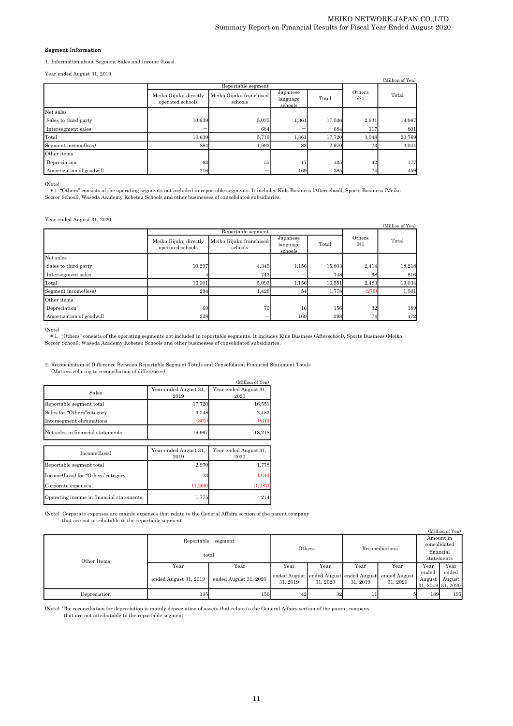#### Segment Information

1.Information about Segment Sales and Income (Loss)

Year ended August 31, 2019

| $10011$ $010001$ $1100000$ $011$ $0010$ |                                                                                 |                    |                                          |        |                      | (Million of Yen) |  |
|-----------------------------------------|---------------------------------------------------------------------------------|--------------------|------------------------------------------|--------|----------------------|------------------|--|
|                                         |                                                                                 | Reportable segment |                                          |        |                      |                  |  |
|                                         | Meiko Gijuku franchised<br>Meiko Gijuku directly<br>operated schools<br>schools |                    | Japanese<br>Total<br>language<br>schools |        | Others<br>$\times 1$ | Total            |  |
| Net sales                               |                                                                                 |                    |                                          |        |                      |                  |  |
| Sales to third party                    | 10,639                                                                          | 5,035              | 1,361                                    | 17,036 | 2,931                | 19,967           |  |
| Intersegment sales                      |                                                                                 | 684                |                                          | 684    | 117                  | 801              |  |
| Total                                   | 10,639                                                                          | 5,719              | 1,361                                    | 17,720 | 3,048                | 20,769           |  |
| Segment income(loss)                    | 894                                                                             | 1,993              | 82                                       | 2,970  | 73                   | 3,044            |  |
| Other items                             |                                                                                 |                    |                                          |        |                      |                  |  |
| Depreciation                            | 63                                                                              | 55                 | 17                                       | 135    | 42                   | 177              |  |
| Amortization of goodwill                | 216                                                                             |                    | 169                                      | 385    | 74                   | 459              |  |

(Note)

\* 1. "Others" consists of the operating segments not included in reportable segments. It includes Kids Business (Afterschool), Sports Business (Meiko Soccer School), Waseda Academy Kobetsu Schools and other businesses of c

#### Year ended August 31, 2020

| (Million of Yen)         |                                                                                 |                    |                                 |        |                      |        |  |  |
|--------------------------|---------------------------------------------------------------------------------|--------------------|---------------------------------|--------|----------------------|--------|--|--|
|                          |                                                                                 | Reportable segment |                                 |        |                      |        |  |  |
|                          | Meiko Gijuku franchised<br>Meiko Gijuku directly<br>operated schools<br>schools |                    | Japanese<br>language<br>schools | Total  | Others<br>$\times 1$ | Total  |  |  |
| Net sales                |                                                                                 |                    |                                 |        |                      |        |  |  |
| Sales to third party     | 10,297                                                                          | 4,349              | 1,156                           | 15,803 | 2,414                | 18,218 |  |  |
| Intersegment sales       |                                                                                 | 743                |                                 | 748    | 68                   | 816    |  |  |
| Total                    | 10,301                                                                          | 5,093              | 1,156                           | 16,551 | 2,483                | 19,034 |  |  |
| Segment income(loss)     | 294                                                                             | 1,428              | 54                              | 1,778  | (276)                | 1,501  |  |  |
| Other items              |                                                                                 |                    |                                 |        |                      |        |  |  |
| Depreciation             | 69                                                                              | 70                 | 16                              | 156    | 32                   | 189    |  |  |
| Amortization of goodwill | 228                                                                             |                    | 169                             | 398    | 74                   | 472    |  |  |

(Note)

t 1. "Others" consists of the operating segments not included in reportable segments. It includes Kids Business (Afterschool), Sports Business (Meiko (Meiko), Sports Business (Meiko), Sports Business (Meiko), Waseda Academ

2.Reconciliation of Difference Between Reportable Segment Totals and Consolidated Financial Statement Totals (Matters relating to reconciliation of differences)

|                                          |                               | (Million of Yen)              |
|------------------------------------------|-------------------------------|-------------------------------|
| Sales                                    | Year ended August 31.<br>2019 | Year ended August 31,<br>2020 |
| Reportable segment total                 | 17,720                        | 16,551                        |
| Sales for "Others" category              | 3,048                         | 2,483                         |
| Intersegment eliminations                | (801)                         | (816)                         |
| Net sales in financial statements        | 19,967                        | 18,218                        |
|                                          |                               |                               |
| Income(Loss)                             | Year ended August 31.<br>2019 | Year ended August 31,<br>2020 |
| Reportable segment total                 | 2,970                         | 1,778                         |
| Income(Loss) for "Others" category       | 73                            | (276)                         |
| Corporate expenses                       | (1,269)                       | (1, 287)                      |
| Operating income in financial statements | 1,775                         | 214                           |

(Note) Corporate expenses are mainly expenses that relate to the General Affairs section of the parent company that are not attributable to the reportable segment.

|              |                       |                       |                                        |                 |              |              |                   | (Million of Yen) |
|--------------|-----------------------|-----------------------|----------------------------------------|-----------------|--------------|--------------|-------------------|------------------|
|              | Reportable            | Others                |                                        |                 | consolidated | Amount in    |                   |                  |
|              | total                 |                       |                                        | Reconciliations |              | financial    |                   |                  |
| Other Items  |                       |                       |                                        |                 |              |              | statements        |                  |
|              | Year                  | Year                  | Year                                   | Year            | Year         | Year         | Year              | Year             |
|              |                       | ended August 31, 2020 | ended August ended August ended August |                 |              | ended August | ended             | ended            |
|              | ended August 31, 2019 |                       | 31, 2019                               | 31, 2020        | 31, 2019     | 31, 2020     | August            | August           |
|              |                       |                       |                                        |                 |              |              | 31, 2019 31, 2020 |                  |
| Depreciation | 135                   | 156                   | 42                                     | 32              |              |              | 189               | 195              |

(Note) The reconciliation for depreciation is mainly depreciation of assets that relate to the General Affairs section of the parent company that are not attributable to the reportable segment.